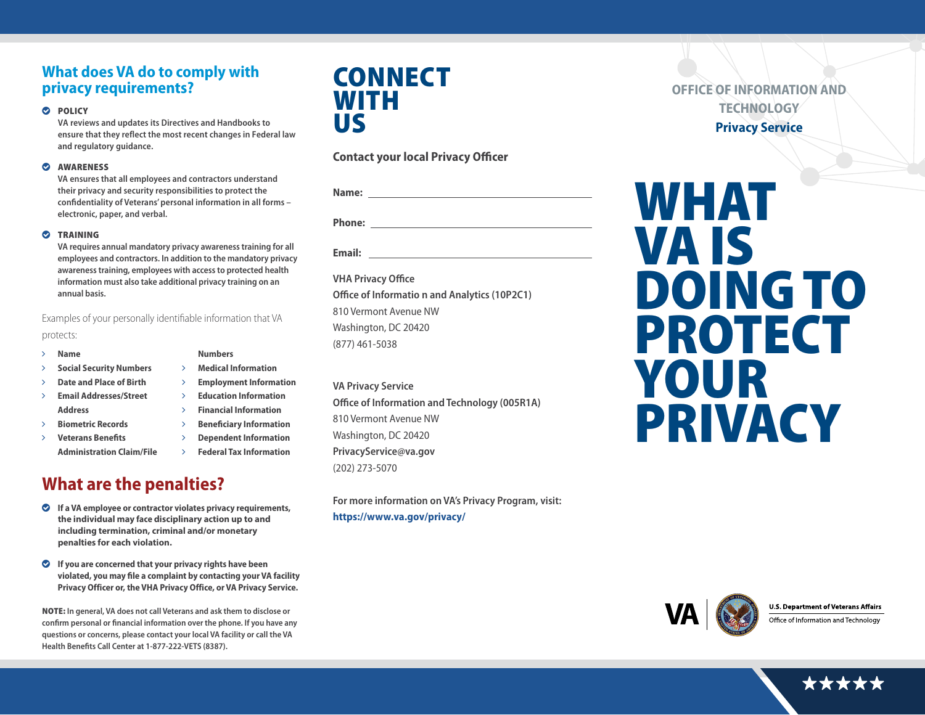### **What does VA do to comply with privacy requirements?**

#### **O** POLICY

**VA reviews and updates its Directives and Handbooks to ensure that they reflect the most recent changes in Federal law and regulatory guidance.**

### $\bullet$  AWARENESS

**VA ensures that all employees and contractors understand their privacy and security responsibilities to protect the confidentiality of Veterans' personal information in all forms – electronic, paper, and verbal.**

### **O** TRAINING

**VA requires annual mandatory privacy awareness training for all employees and contractors. In addition to the mandatory privacy awareness training, employees with access to protected health information must also take additional privacy training on an annual basis.** 

> **Numbers** ö **Medical Information**

Examples of your personally identifiable information that VA protects:

### ö **Name**

- ö **Social Security Numbers**
- ö **Date and Place of Birth**
- ö **Email Addresses/Street Address**
- ö **Biometric Records**
- ö **Veterans Benefits** 
	- **Administration Claim/File**

# **What are the penalties?**

- ` **If a VA employee or contractor violates privacy requirements, the individual may face disciplinary action up to and including termination, criminal and/or monetary penalties for each violation.**
- ` **If you are concerned that your privacy rights have been violated, you may file a complaint by contacting your VA facility Privacy Officer or, the VHA Privacy Office, or VA Privacy Service.**

NOTE: **In general, VA does not call Veterans and ask them to disclose or confirm personal or financial information over the phone. If you have any questions or concerns, please contact your local VA facility or call the VA Health Benefits Call Center at 1-877-222-VETS (8387).**

# **CONNECT** WITH US

### **Contact your local Privacy Officer**

| Name:         |  |  |  |
|---------------|--|--|--|
|               |  |  |  |
| <b>Phone:</b> |  |  |  |
|               |  |  |  |

**Email:** 

**VHA Privacy Office Office of Informatio n and Analytics (10P2C1)** 810 Vermont Avenue NW Washington, DC 20420 (877) 461-5038

**VA Privacy Service Office of Information and Technology (005R1A)** 810 Vermont Avenue NW Washington, DC 20420 **PrivacyService@va.gov** (202) 273-5070

**For more information on VA's Privacy Program, visit: <https://www.va.gov/privacy/>**

**OFFICE OF INFORMATION AND TECHNOLOGY Privacy Service** 

# WHAT VA IS DOING TO PROTECT YOUR PRIVACY



**U.S. Department of Veterans Affairs** 

Office of Information and Technology



ö **Employment Information**  ö **Education Information** ö **Financial Information**  ö **Beneficiary Information**  ö **Dependent Information** ö **Federal Tax Information**